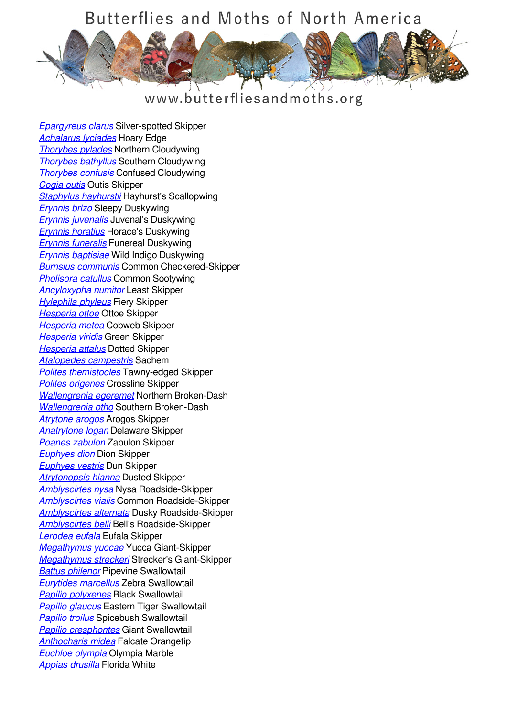

## www.butterfliesandmoths.org

*[Epargyreus clarus](/species/Epargyreus-clarus)* Silver-spotted Skipper *[Achalarus lyciades](/species/Achalarus-lyciades)* Hoary Edge *[Thorybes pylades](/species/Thorybes-pylades)* Northern Cloudywing *[Thorybes bathyllus](/species/Thorybes-bathyllus)* Southern Cloudywing *[Thorybes confusis](/species/Thorybes-confusis)* Confused Cloudywing *[Cogia outis](/species/Cogia-outis)* Outis Skipper *[Staphylus hayhurstii](/species/Staphylus-hayhurstii)* Hayhurst's Scallopwing *[Erynnis brizo](/species/Erynnis-brizo)* Sleepy Duskywing *[Erynnis juvenalis](/species/Erynnis-juvenalis)* Juvenal's Duskywing *[Erynnis horatius](/species/Erynnis-horatius)* Horace's Duskywing *[Erynnis funeralis](/species/Erynnis-funeralis)* Funereal Duskywing *[Erynnis baptisiae](/species/Erynnis-baptisiae)* Wild Indigo Duskywing *[Burnsius communis](/species/Pyrgus-communis)* Common Checkered-Skipper *[Pholisora catullus](/species/Pholisora-catullus)* Common Sootywing *[Ancyloxypha numitor](/species/Ancyloxypha-numitor)* Least Skipper *[Hylephila phyleus](/species/Hylephila-phyleus)* Fiery Skipper *[Hesperia ottoe](/species/Hesperia-ottoe)* Ottoe Skipper *[Hesperia metea](/species/Hesperia-metea)* Cobweb Skipper *[Hesperia viridis](/species/Hesperia-viridis)* Green Skipper *[Hesperia attalus](/species/Hesperia-attalus)* Dotted Skipper *[Atalopedes campestris](/species/Atalopedes-campestris)* Sachem *[Polites themistocles](/species/Polites-themistocles)* Tawny-edged Skipper *[Polites origenes](/species/Polites-origenes)* Crossline Skipper *[Wallengrenia egeremet](/species/Wallengrenia-egeremet)* Northern Broken-Dash *[Wallengrenia otho](/species/Wallengrenia-otho)* Southern Broken-Dash *[Atrytone arogos](/species/Atrytone-arogos)* Arogos Skipper *[Anatrytone logan](/species/Anatrytone-logan)* Delaware Skipper *[Poanes zabulon](/species/Poanes-zabulon)* Zabulon Skipper *[Euphyes dion](/species/Euphyes-dion)* Dion Skipper *[Euphyes vestris](/species/Euphyes-vestris)* Dun Skipper *[Atrytonopsis hianna](/species/Atrytonopsis-hianna)* Dusted Skipper *[Amblyscirtes nysa](/species/Amblyscirtes-nysa)* Nysa Roadside-Skipper *[Amblyscirtes vialis](/species/Amblyscirtes-vialis)* Common Roadside-Skipper *[Amblyscirtes alternata](/species/Amblyscirtes-alternata)* Dusky Roadside-Skipper *[Amblyscirtes belli](/species/Amblyscirtes-belli)* Bell's Roadside-Skipper *[Lerodea eufala](/species/Lerodea-eufala)* Eufala Skipper *[Megathymus yuccae](/species/Megathymus-yuccae)* Yucca Giant-Skipper *[Megathymus streckeri](/species/Megathymus-streckeri)* Strecker's Giant-Skipper *[Battus philenor](/species/Battus-philenor)* Pipevine Swallowtail *[Eurytides marcellus](/species/Eurytides-marcellus)* Zebra Swallowtail *[Papilio polyxenes](/species/Papilio-polyxenes)* Black Swallowtail *[Papilio glaucus](/species/Papilio-glaucus)* Eastern Tiger Swallowtail *[Papilio troilus](/species/Papilio-troilus)* Spicebush Swallowtail *[Papilio cresphontes](/species/Papilio-cresphontes)* Giant Swallowtail *[Anthocharis midea](/species/Anthocharis-midea)* Falcate Orangetip *[Euchloe olympia](/species/Euchloe-olympia)* Olympia Marble *[Appias drusilla](/species/Appias-drusilla)* Florida White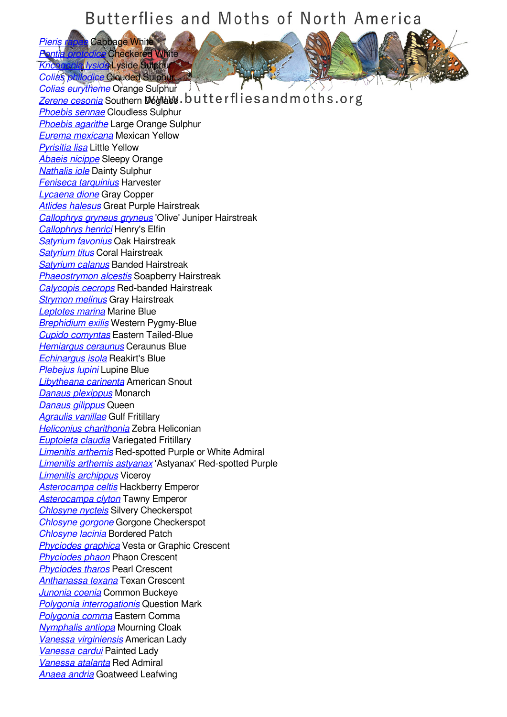*[Pieris rapae](/species/Pieris-rapae)* Cabbage White **[Pontia protodice](/species/Pontia-protodice)** Checkered White *[Kricogonia lyside](/species/Kricogonia-lyside)* Lyside Sulphur *[Colias philodice](/species/Colias-philodice)* Clouded Sulphur

*[Colias eurytheme](/species/Colias-eurytheme)* Orange Sulphur J **[Zerene cesonia](/species/Zerene-cesonia)** Southern Dogface.butterfliesand moths.org *[Phoebis sennae](/species/Phoebis-sennae)* Cloudless Sulphur *[Phoebis agarithe](/species/Phoebis-agarithe)* Large Orange Sulphur *[Eurema mexicana](/species/Eurema-mexicana)* Mexican Yellow *[Pyrisitia lisa](/species/Pyrisitia-lisa)* Little Yellow *[Abaeis nicippe](/species/Abaeis-nicippe)* Sleepy Orange *[Nathalis iole](/species/Nathalis-iole)* Dainty Sulphur *[Feniseca tarquinius](/species/Feniseca-tarquinius)* Harvester *[Lycaena dione](/species/Lycaena-dione)* Gray Copper *[Atlides halesus](/species/Atlides-halesus)* Great Purple Hairstreak *[Callophrys gryneus gryneus](/species/Callophrys-gryneus-gryneus)* 'Olive' Juniper Hairstreak *[Callophrys henrici](/species/Callophrys-henrici)* Henry's Elfin *[Satyrium favonius](/species/Satyrium-favonius)* Oak Hairstreak *[Satyrium titus](/species/Satyrium-titus)* Coral Hairstreak *[Satyrium calanus](/species/Satyrium-calanus)* Banded Hairstreak *[Phaeostrymon alcestis](/species/Phaeostrymon-alcestis)* Soapberry Hairstreak *[Calycopis cecrops](/species/Calycopis-cecrops)* Red-banded Hairstreak *[Strymon melinus](/species/Strymon-melinus)* Gray Hairstreak *[Leptotes marina](/species/Leptotes-marina)* Marine Blue *[Brephidium exilis](/species/Brephidium-exilis)* Western Pygmy-Blue *[Cupido comyntas](/species/Cupido-comyntas)* Eastern Tailed-Blue *[Hemiargus ceraunus](/species/Hemiargus-ceraunus)* Ceraunus Blue *[Echinargus isola](/species/Echinargus-isola)* Reakirt's Blue *[Plebejus lupini](/species/Plebejus-lupini)* Lupine Blue *[Libytheana carinenta](/species/Libytheana-carinenta)* American Snout *[Danaus plexippus](/species/Danaus-plexippus)* Monarch *[Danaus gilippus](/species/Danaus-gilippus)* Queen *[Agraulis vanillae](/species/Agraulis-vanillae)* Gulf Fritillary *[Heliconius charithonia](/species/Heliconius-charithonia)* Zebra Heliconian *[Euptoieta claudia](/species/Euptoieta-claudia)* Variegated Fritillary *[Limenitis arthemis](/species/Limenitis-arthemis)* Red-spotted Purple or White Admiral *[Limenitis arthemis astyanax](/species/Limenitis-arthemis-astyanax)* 'Astyanax' Red-spotted Purple *[Limenitis archippus](/species/Limenitis-archippus)* Viceroy *[Asterocampa celtis](/species/Asterocampa-celtis)* Hackberry Emperor *[Asterocampa clyton](/species/Asterocampa-clyton)* Tawny Emperor *[Chlosyne nycteis](/species/Chlosyne-nycteis)* Silvery Checkerspot *[Chlosyne gorgone](/species/Chlosyne-gorgone)* Gorgone Checkerspot *[Chlosyne lacinia](/species/Chlosyne-lacinia)* Bordered Patch *[Phyciodes graphica](/species/Phyciodes-graphica)* Vesta or Graphic Crescent *[Phyciodes phaon](/species/Phyciodes-phaon)* Phaon Crescent *[Phyciodes tharos](/species/Phyciodes-tharos)* Pearl Crescent *[Anthanassa texana](/species/Anthanassa-texana)* Texan Crescent *[Junonia coenia](/species/Junonia-coenia)* Common Buckeye *[Polygonia interrogationis](/species/Polygonia-interrogationis)* Question Mark *[Polygonia comma](/species/Polygonia-comma)* Eastern Comma *[Nymphalis antiopa](/species/Nymphalis-antiopa)* Mourning Cloak *[Vanessa virginiensis](/species/Vanessa-virginiensis)* American Lady *[Vanessa cardui](/species/Vanessa-cardui)* Painted Lady *[Vanessa atalanta](/species/Vanessa-atalanta)* Red Admiral *[Anaea andria](/species/Anaea-andria)* Goatweed Leafwing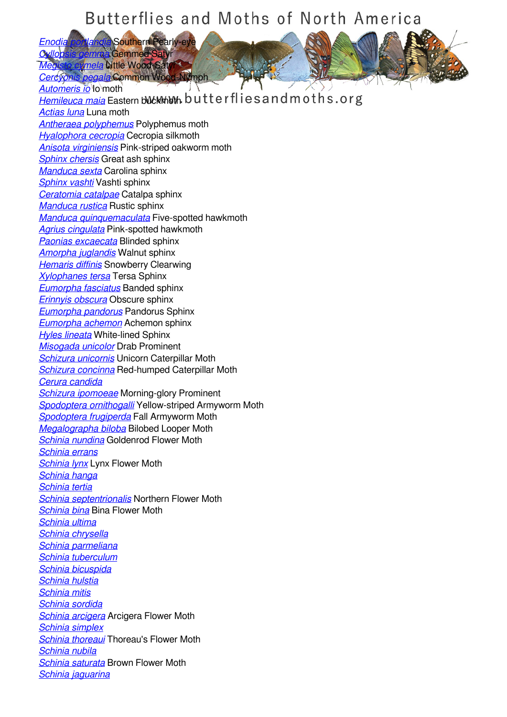*[Enodia portlandia](/species/Enodia-portlandia)* Southern Pearly-eye *[Cyllopsis gemma](/species/Cyllopsis-gemma)* Gemmed Satyr

*mela* Dittle Wood<del>,</del> Satyr<br>*negala* Common Wood-Nymph. *pegala* Common Wood